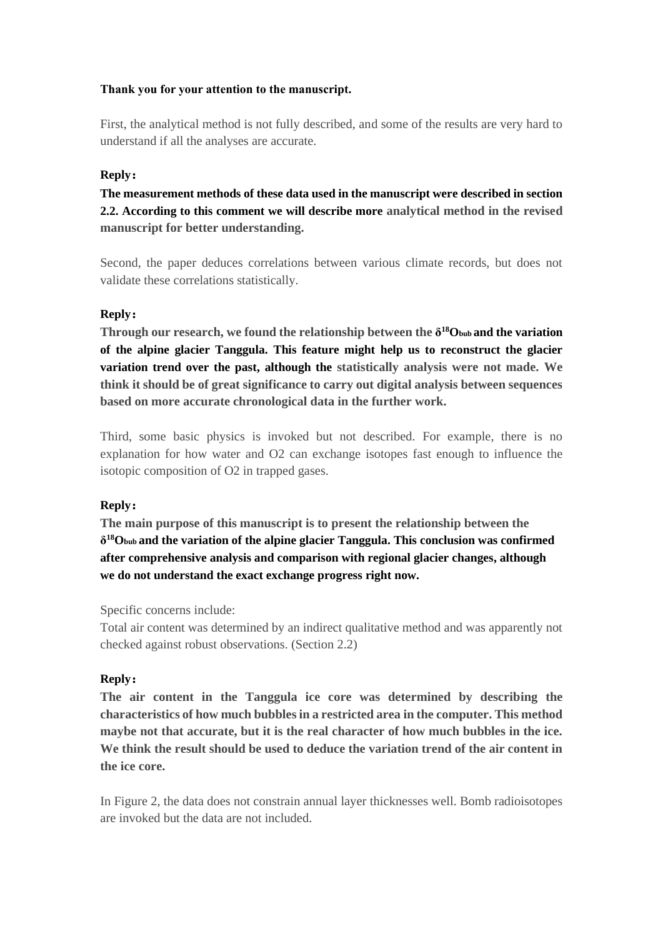#### **Thank you for your attention to the manuscript.**

First, the analytical method is not fully described, and some of the results are very hard to understand if all the analyses are accurate.

#### **Reply:**

**The measurement methods of these data used in the manuscript were described in section 2.2. According to this comment we will describe more analytical method in the revised manuscript for better understanding.**

Second, the paper deduces correlations between various climate records, but does not validate these correlations statistically.

#### **Reply:**

**Through our research, we found the relationship between the δ <sup>18</sup>Obub and the variation of the alpine glacier Tanggula. This feature might help us to reconstruct the glacier variation trend over the past, although the statistically analysis were not made. We think it should be of great significance to carry out digital analysis between sequences based on more accurate chronological data in the further work.**

Third, some basic physics is invoked but not described. For example, there is no explanation for how water and O2 can exchange isotopes fast enough to influence the isotopic composition of O2 in trapped gases.

## **Reply:**

**The main purpose of this manuscript is to present the relationship between the δ <sup>18</sup>Obub and the variation of the alpine glacier Tanggula. This conclusion was confirmed after comprehensive analysis and comparison with regional glacier changes, although we do not understand the exact exchange progress right now.**

Specific concerns include:

Total air content was determined by an indirect qualitative method and was apparently not checked against robust observations. (Section 2.2)

#### **Reply:**

**The air content in the Tanggula ice core was determined by describing the characteristics of how much bubbles in a restricted area in the computer. This method maybe not that accurate, but it is the real character of how much bubbles in the ice. We think the result should be used to deduce the variation trend of the air content in the ice core.**

In Figure 2, the data does not constrain annual layer thicknesses well. Bomb radioisotopes are invoked but the data are not included.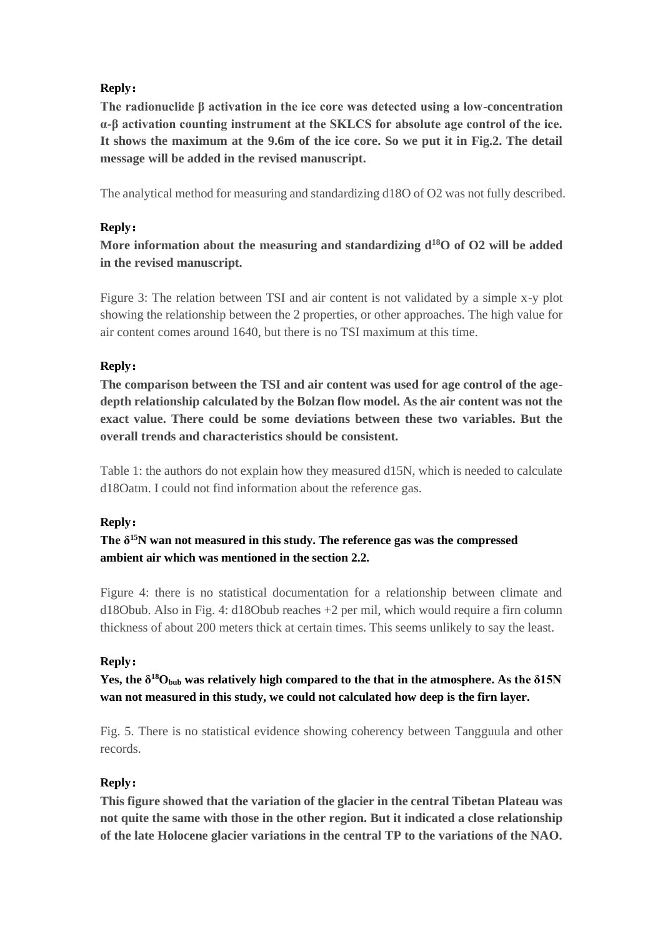# **Reply:**

**The radionuclide β activation in the ice core was detected using a low-concentration α-β activation counting instrument at the SKLCS for absolute age control of the ice. It shows the maximum at the 9.6m of the ice core. So we put it in Fig.2. The detail message will be added in the revised manuscript.**

The analytical method for measuring and standardizing d18O of O2 was not fully described.

# **Reply:**

**More information about the measuring and standardizing d<sup>18</sup>O of O2 will be added in the revised manuscript.**

Figure 3: The relation between TSI and air content is not validated by a simple x-y plot showing the relationship between the 2 properties, or other approaches. The high value for air content comes around 1640, but there is no TSI maximum at this time.

# **Reply:**

**The comparison between the TSI and air content was used for age control of the agedepth relationship calculated by the Bolzan flow model. As the air content was not the exact value. There could be some deviations between these two variables. But the overall trends and characteristics should be consistent.**

Table 1: the authors do not explain how they measured d15N, which is needed to calculate d18Oatm. I could not find information about the reference gas.

## **Reply:**

**The δ<sup>15</sup>N wan not measured in this study. The reference gas was the compressed ambient air which was mentioned in the section 2.2.**

Figure 4: there is no statistical documentation for a relationship between climate and d18Obub. Also in Fig. 4: d18Obub reaches +2 per mil, which would require a firn column thickness of about 200 meters thick at certain times. This seems unlikely to say the least.

# **Reply:**

**Yes, the δ <sup>18</sup>Obub was relatively high compared to the that in the atmosphere. As the δ15N wan not measured in this study, we could not calculated how deep is the firn layer.**

Fig. 5. There is no statistical evidence showing coherency between Tangguula and other records.

## **Reply:**

**This figure showed that the variation of the glacier in the central Tibetan Plateau was not quite the same with those in the other region. But it indicated a close relationship of the late Holocene glacier variations in the central TP to the variations of the NAO.**